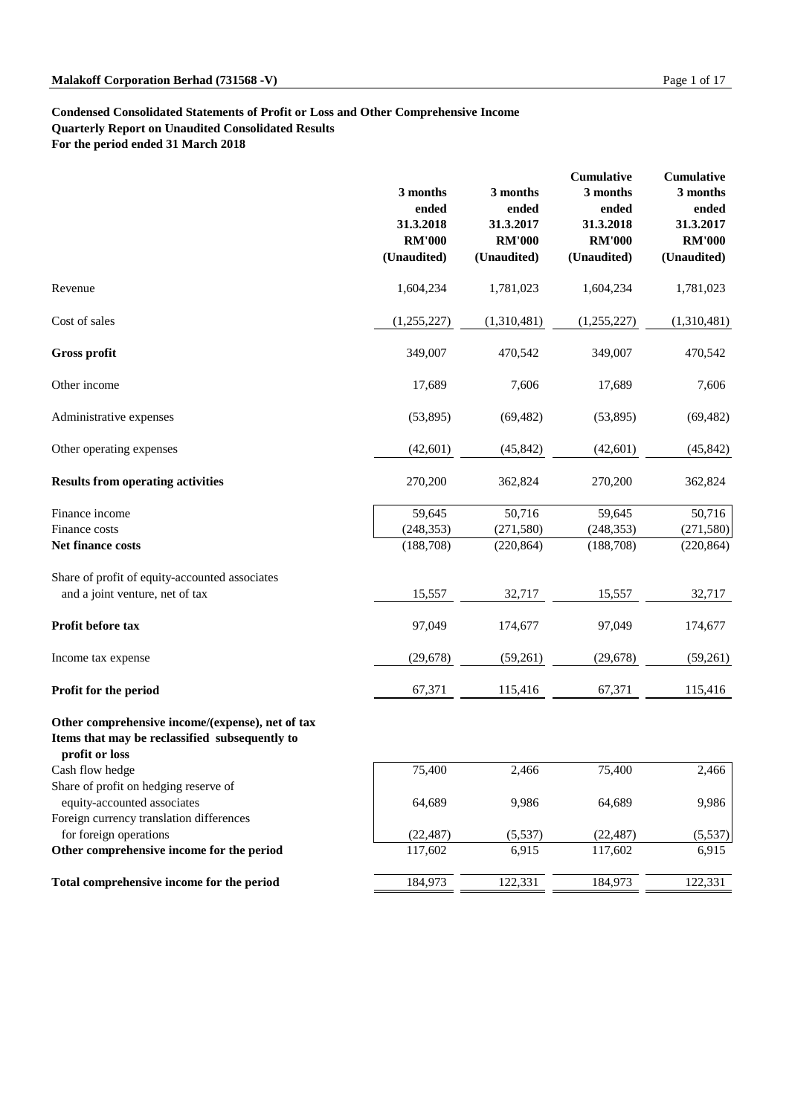### **Condensed Consolidated Statements of Profit or Loss and Other Comprehensive Income**

**Quarterly Report on Unaudited Consolidated Results**

**For the period ended 31 March 2018**

|                                                                                                                      | 3 months<br>ended<br>31.3.2018<br><b>RM'000</b><br>(Unaudited) | 3 months<br>ended<br>31.3.2017<br><b>RM'000</b><br>(Unaudited) | Cumulative<br>3 months<br>ended<br>31.3.2018<br><b>RM'000</b><br>(Unaudited) | Cumulative<br>3 months<br>ended<br>31.3.2017<br><b>RM'000</b><br>(Unaudited) |
|----------------------------------------------------------------------------------------------------------------------|----------------------------------------------------------------|----------------------------------------------------------------|------------------------------------------------------------------------------|------------------------------------------------------------------------------|
| Revenue                                                                                                              | 1,604,234                                                      | 1,781,023                                                      | 1,604,234                                                                    | 1,781,023                                                                    |
| Cost of sales                                                                                                        | (1,255,227)                                                    | (1,310,481)                                                    | (1,255,227)                                                                  | (1,310,481)                                                                  |
| Gross profit                                                                                                         | 349,007                                                        | 470,542                                                        | 349,007                                                                      | 470,542                                                                      |
| Other income                                                                                                         | 17,689                                                         | 7,606                                                          | 17,689                                                                       | 7,606                                                                        |
| Administrative expenses                                                                                              | (53,895)                                                       | (69, 482)                                                      | (53,895)                                                                     | (69, 482)                                                                    |
| Other operating expenses                                                                                             | (42, 601)                                                      | (45, 842)                                                      | (42, 601)                                                                    | (45, 842)                                                                    |
| <b>Results from operating activities</b>                                                                             | 270,200                                                        | 362,824                                                        | 270,200                                                                      | 362,824                                                                      |
| Finance income<br>Finance costs<br>Net finance costs                                                                 | 59,645<br>(248, 353)<br>(188, 708)                             | 50,716<br>(271, 580)<br>(220, 864)                             | 59,645<br>(248, 353)<br>(188, 708)                                           | 50,716<br>(271, 580)<br>(220, 864)                                           |
| Share of profit of equity-accounted associates<br>and a joint venture, net of tax                                    | 15,557                                                         | 32,717                                                         | 15,557                                                                       | 32,717                                                                       |
| Profit before tax                                                                                                    | 97,049                                                         | 174,677                                                        | 97,049                                                                       | 174,677                                                                      |
| Income tax expense                                                                                                   | (29, 678)                                                      | (59,261)                                                       | (29, 678)                                                                    | (59,261)                                                                     |
| Profit for the period                                                                                                | 67,371                                                         | 115,416                                                        | 67,371                                                                       | 115,416                                                                      |
| Other comprehensive income/(expense), net of tax<br>Items that may be reclassified subsequently to<br>profit or loss |                                                                |                                                                |                                                                              |                                                                              |
| Cash flow hedge                                                                                                      | 75,400                                                         | 2,466                                                          | 75,400                                                                       | 2,466                                                                        |
| Share of profit on hedging reserve of<br>equity-accounted associates<br>Foreign currency translation differences     | 64,689                                                         | 9,986                                                          | 64,689                                                                       | 9,986                                                                        |
| for foreign operations                                                                                               | (22, 487)                                                      | (5,537)                                                        | (22, 487)                                                                    | (5,537)                                                                      |
| Other comprehensive income for the period                                                                            | 117,602                                                        | 6,915                                                          | 117,602                                                                      | 6,915                                                                        |
| Total comprehensive income for the period                                                                            | 184,973                                                        | 122,331                                                        | 184,973                                                                      | 122,331                                                                      |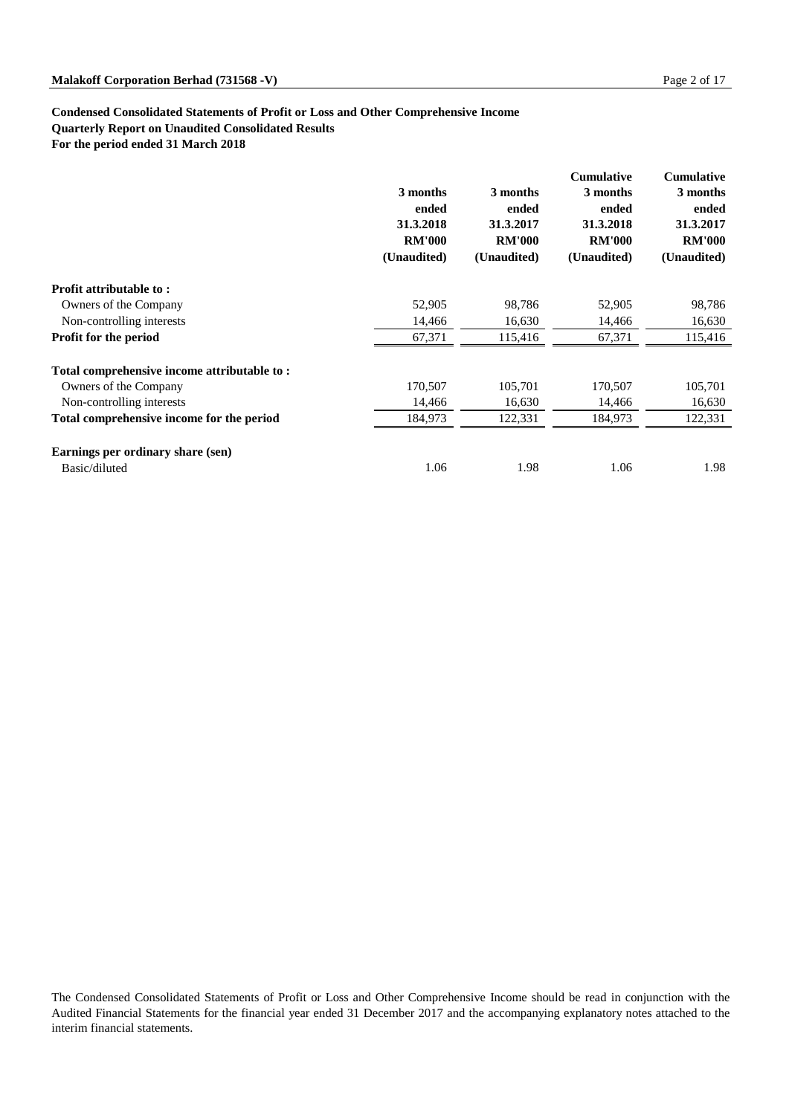# **Condensed Consolidated Statements of Profit or Loss and Other Comprehensive Income**

**Quarterly Report on Unaudited Consolidated Results**

**For the period ended 31 March 2018**

|                                             | 3 months<br>ended<br>31.3.2018<br><b>RM'000</b><br>(Unaudited) | 3 months<br>ended<br>31.3.2017<br><b>RM'000</b><br>(Unaudited) | <b>Cumulative</b><br>3 months<br>ended<br>31.3.2018<br><b>RM'000</b><br>(Unaudited) | <b>Cumulative</b><br>3 months<br>ended<br>31.3.2017<br><b>RM'000</b><br>(Unaudited) |
|---------------------------------------------|----------------------------------------------------------------|----------------------------------------------------------------|-------------------------------------------------------------------------------------|-------------------------------------------------------------------------------------|
| <b>Profit attributable to:</b>              |                                                                |                                                                |                                                                                     |                                                                                     |
| Owners of the Company                       | 52,905                                                         | 98,786                                                         | 52,905                                                                              | 98,786                                                                              |
| Non-controlling interests                   | 14,466                                                         | 16,630                                                         | 14,466                                                                              | 16,630                                                                              |
| Profit for the period                       | 67,371                                                         | 115,416                                                        | 67,371                                                                              | 115,416                                                                             |
| Total comprehensive income attributable to: |                                                                |                                                                |                                                                                     |                                                                                     |
| Owners of the Company                       | 170,507                                                        | 105,701                                                        | 170,507                                                                             | 105,701                                                                             |
| Non-controlling interests                   | 14,466                                                         | 16,630                                                         | 14,466                                                                              | 16,630                                                                              |
| Total comprehensive income for the period   | 184,973                                                        | 122,331                                                        | 184,973                                                                             | 122,331                                                                             |
| Earnings per ordinary share (sen)           |                                                                |                                                                |                                                                                     |                                                                                     |
| Basic/diluted                               | 1.06                                                           | 1.98                                                           | 1.06                                                                                | 1.98                                                                                |

The Condensed Consolidated Statements of Profit or Loss and Other Comprehensive Income should be read in conjunction with the Audited Financial Statements for the financial year ended 31 December 2017 and the accompanying explanatory notes attached to the interim financial statements.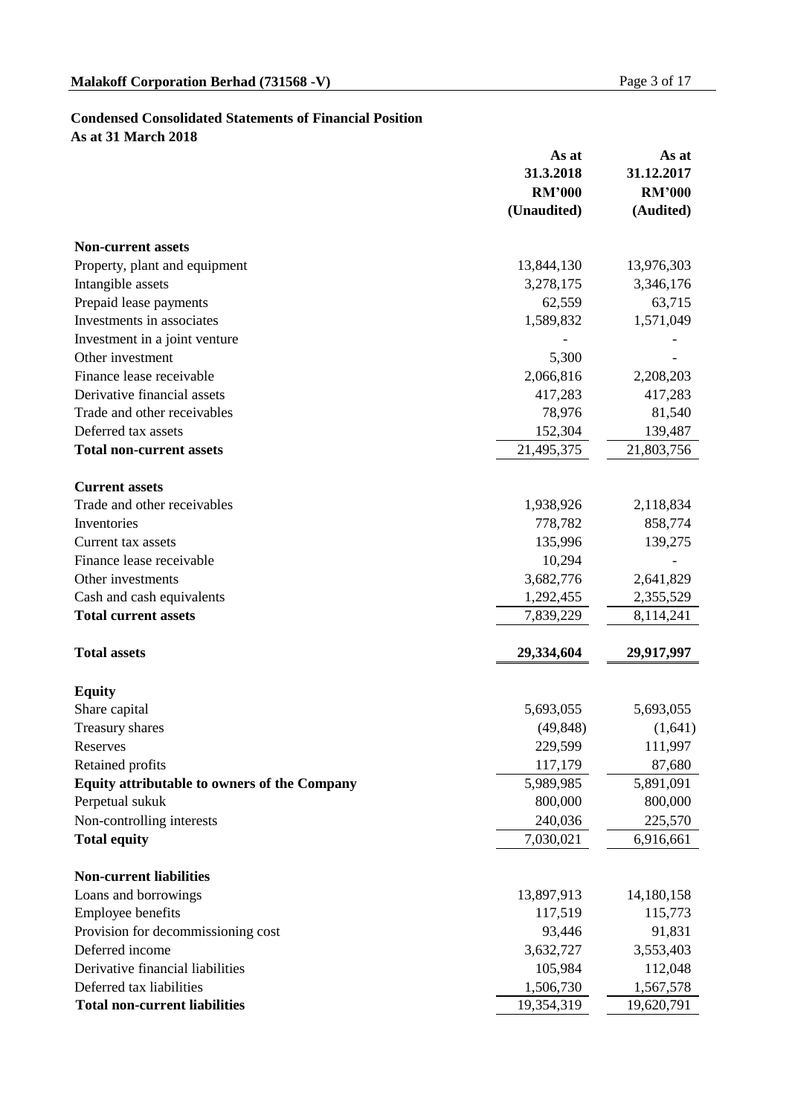# **Condensed Consolidated Statements of Financial Position**

**As at 31 March 2018**

|                                                     | As at         | As at         |
|-----------------------------------------------------|---------------|---------------|
|                                                     | 31.3.2018     | 31.12.2017    |
|                                                     | <b>RM'000</b> | <b>RM'000</b> |
|                                                     | (Unaudited)   | (Audited)     |
| <b>Non-current assets</b>                           |               |               |
| Property, plant and equipment                       | 13,844,130    | 13,976,303    |
| Intangible assets                                   | 3,278,175     | 3,346,176     |
| Prepaid lease payments                              | 62,559        | 63,715        |
| Investments in associates                           | 1,589,832     | 1,571,049     |
| Investment in a joint venture                       |               |               |
| Other investment                                    | 5,300         |               |
| Finance lease receivable                            | 2,066,816     | 2,208,203     |
| Derivative financial assets                         | 417,283       | 417,283       |
| Trade and other receivables                         | 78,976        | 81,540        |
| Deferred tax assets                                 | 152,304       | 139,487       |
| <b>Total non-current assets</b>                     | 21,495,375    | 21,803,756    |
|                                                     |               |               |
| <b>Current assets</b>                               |               |               |
| Trade and other receivables                         | 1,938,926     | 2,118,834     |
| Inventories                                         | 778,782       | 858,774       |
| Current tax assets                                  | 135,996       | 139,275       |
| Finance lease receivable                            | 10,294        |               |
| Other investments                                   | 3,682,776     | 2,641,829     |
| Cash and cash equivalents                           | 1,292,455     | 2,355,529     |
| <b>Total current assets</b>                         | 7,839,229     | 8,114,241     |
| <b>Total assets</b>                                 | 29,334,604    | 29,917,997    |
|                                                     |               |               |
| <b>Equity</b><br>Share capital                      | 5,693,055     | 5,693,055     |
| Treasury shares                                     | (49, 848)     | (1,641)       |
|                                                     | 229,599       | 111,997       |
| Reserves<br>Retained profits                        | 117,179       | 87,680        |
| <b>Equity attributable to owners of the Company</b> | 5,989,985     | 5,891,091     |
| Perpetual sukuk                                     | 800,000       | 800,000       |
| Non-controlling interests                           | 240,036       | 225,570       |
| <b>Total equity</b>                                 | 7,030,021     | 6,916,661     |
|                                                     |               |               |
| <b>Non-current liabilities</b>                      |               |               |
| Loans and borrowings                                | 13,897,913    | 14,180,158    |
| Employee benefits                                   | 117,519       | 115,773       |
| Provision for decommissioning cost                  | 93,446        | 91,831        |
| Deferred income                                     | 3,632,727     | 3,553,403     |
| Derivative financial liabilities                    | 105,984       | 112,048       |
| Deferred tax liabilities                            | 1,506,730     | 1,567,578     |
| <b>Total non-current liabilities</b>                | 19,354,319    | 19,620,791    |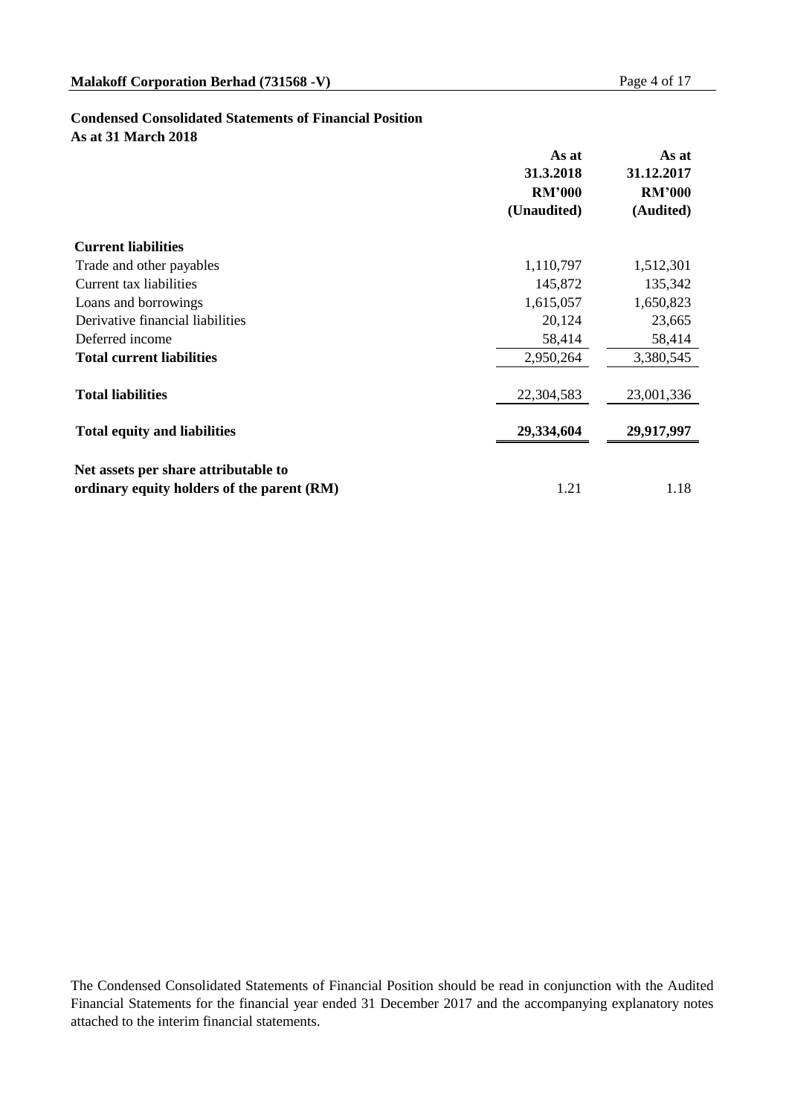## **Condensed Consolidated Statements of Financial Position**

**As at 31 March 2018**

|                                            | As at         | As at         |
|--------------------------------------------|---------------|---------------|
|                                            | 31.3.2018     | 31.12.2017    |
|                                            | <b>RM'000</b> | <b>RM'000</b> |
|                                            | (Unaudited)   | (Audited)     |
| <b>Current liabilities</b>                 |               |               |
| Trade and other payables                   | 1,110,797     | 1,512,301     |
| Current tax liabilities                    | 145,872       | 135,342       |
| Loans and borrowings                       | 1,615,057     | 1,650,823     |
| Derivative financial liabilities           | 20,124        | 23,665        |
| Deferred income                            | 58,414        | 58,414        |
| <b>Total current liabilities</b>           | 2,950,264     | 3,380,545     |
|                                            |               |               |
| <b>Total liabilities</b>                   | 22,304,583    | 23,001,336    |
|                                            |               |               |
| <b>Total equity and liabilities</b>        | 29,334,604    | 29,917,997    |
|                                            |               |               |
| Net assets per share attributable to       |               |               |
| ordinary equity holders of the parent (RM) | 1.21          | 1.18          |

The Condensed Consolidated Statements of Financial Position should be read in conjunction with the Audited Financial Statements for the financial year ended 31 December 2017 and the accompanying explanatory notes attached to the interim financial statements.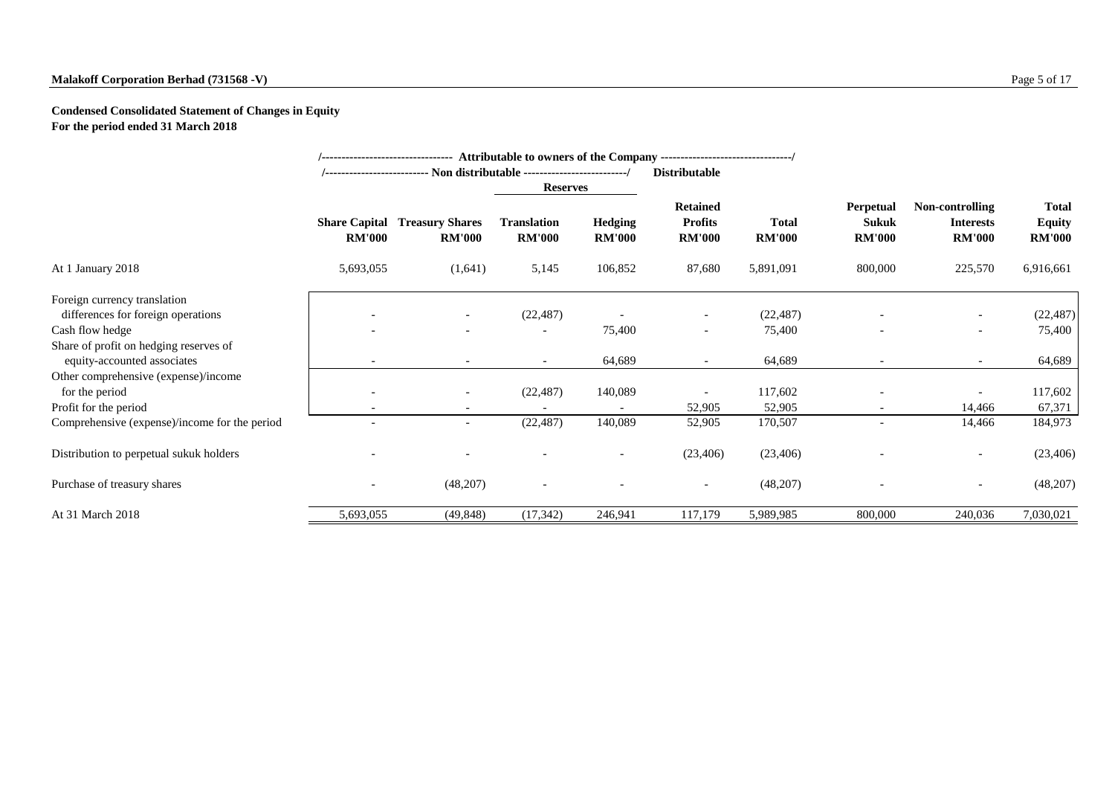#### **Malakoff Corporation Berhad (731568 -V)** Page 5 of 17

#### **Condensed Consolidated Statement of Changes in Equity For the period ended 31 March 2018**

|                                                                       |                          | /--------------------------------- Attributable to owners of the Company -------------------------------/ |                                     |                                 |                                                    |                               |                                                   |                                                      |                                                |
|-----------------------------------------------------------------------|--------------------------|-----------------------------------------------------------------------------------------------------------|-------------------------------------|---------------------------------|----------------------------------------------------|-------------------------------|---------------------------------------------------|------------------------------------------------------|------------------------------------------------|
|                                                                       |                          | /-------------------------- Non distributable -------------------------/                                  |                                     |                                 | <b>Distributable</b>                               |                               |                                                   |                                                      |                                                |
|                                                                       |                          |                                                                                                           |                                     | <b>Reserves</b>                 |                                                    |                               |                                                   |                                                      |                                                |
|                                                                       | <b>RM'000</b>            | <b>Share Capital Treasury Shares</b><br><b>RM'000</b>                                                     | <b>Translation</b><br><b>RM'000</b> | <b>Hedging</b><br><b>RM'000</b> | <b>Retained</b><br><b>Profits</b><br><b>RM'000</b> | <b>Total</b><br><b>RM'000</b> | <b>Perpetual</b><br><b>Sukuk</b><br><b>RM'000</b> | Non-controlling<br><b>Interests</b><br><b>RM'000</b> | <b>Total</b><br><b>Equity</b><br><b>RM'000</b> |
| At 1 January 2018                                                     | 5,693,055                | (1,641)                                                                                                   | 5,145                               | 106,852                         | 87,680                                             | 5,891,091                     | 800,000                                           | 225,570                                              | 6,916,661                                      |
| Foreign currency translation                                          |                          |                                                                                                           |                                     |                                 |                                                    |                               |                                                   |                                                      |                                                |
| differences for foreign operations                                    |                          |                                                                                                           | (22, 487)                           |                                 |                                                    | (22, 487)                     |                                                   |                                                      | (22, 487)                                      |
| Cash flow hedge                                                       |                          |                                                                                                           |                                     | 75,400                          |                                                    | 75,400                        |                                                   |                                                      | 75,400                                         |
| Share of profit on hedging reserves of<br>equity-accounted associates | $\overline{\phantom{a}}$ | $\overline{\phantom{a}}$                                                                                  | $\overline{\phantom{a}}$            | 64,689                          | $\overline{\phantom{a}}$                           | 64,689                        | $\overline{\phantom{a}}$                          | $\overline{\phantom{a}}$                             | 64,689                                         |
| Other comprehensive (expense)/income                                  |                          |                                                                                                           |                                     |                                 |                                                    |                               |                                                   |                                                      |                                                |
| for the period                                                        |                          | $\overline{\phantom{a}}$                                                                                  | (22, 487)                           | 140,089                         |                                                    | 117,602                       |                                                   |                                                      | 117,602                                        |
| Profit for the period                                                 |                          |                                                                                                           |                                     |                                 | 52,905                                             | 52,905                        |                                                   | 14,466                                               | 67,371                                         |
| Comprehensive (expense)/income for the period                         |                          | $\overline{\phantom{a}}$                                                                                  | (22, 487)                           | 140,089                         | 52,905                                             | 170,507                       | $\overline{\phantom{a}}$                          | 14,466                                               | 184,973                                        |
| Distribution to perpetual sukuk holders                               |                          |                                                                                                           |                                     | $\overline{\phantom{a}}$        | (23, 406)                                          | (23, 406)                     |                                                   | $\overline{\phantom{a}}$                             | (23, 406)                                      |
| Purchase of treasury shares                                           |                          | (48,207)                                                                                                  |                                     |                                 | $\overline{\phantom{a}}$                           | (48,207)                      |                                                   | $\overline{\phantom{a}}$                             | (48, 207)                                      |
| At 31 March 2018                                                      | 5,693,055                | (49, 848)                                                                                                 | (17, 342)                           | 246,941                         | 117,179                                            | 5,989,985                     | 800,000                                           | 240,036                                              | 7,030,021                                      |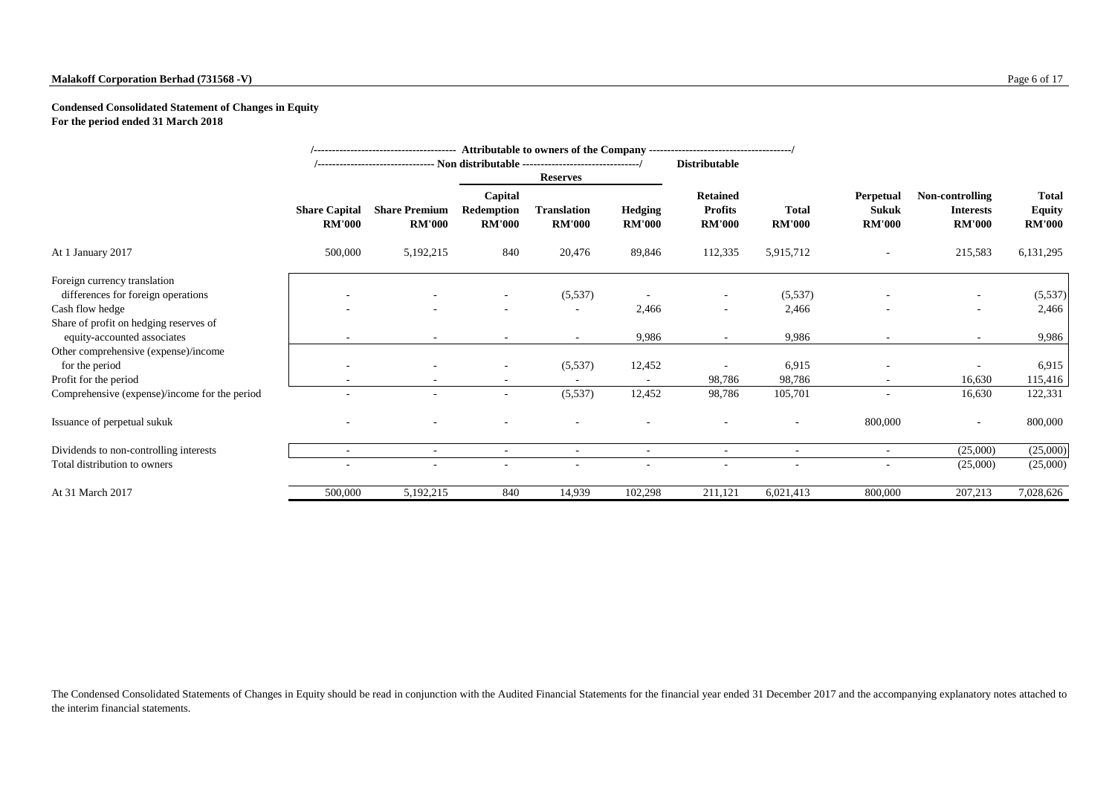#### **Malakoff Corporation Berhad (731568 -V)** Page 6 of 17

#### **Condensed Consolidated Statement of Changes in Equity For the period ended 31 March 2018**

|                                                                       |                                       | /------------------------------- Non distributable -----------------------------/ |                                               |                                     |                                 | <b>Distributable</b>                               |                               |                                            |                                                      |                                         |
|-----------------------------------------------------------------------|---------------------------------------|-----------------------------------------------------------------------------------|-----------------------------------------------|-------------------------------------|---------------------------------|----------------------------------------------------|-------------------------------|--------------------------------------------|------------------------------------------------------|-----------------------------------------|
|                                                                       |                                       |                                                                                   |                                               | <b>Reserves</b>                     |                                 |                                                    |                               |                                            |                                                      |                                         |
|                                                                       | <b>Share Capital</b><br><b>RM'000</b> | <b>Share Premium</b><br><b>RM'000</b>                                             | Capital<br><b>Redemption</b><br><b>RM'000</b> | <b>Translation</b><br><b>RM'000</b> | <b>Hedging</b><br><b>RM'000</b> | <b>Retained</b><br><b>Profits</b><br><b>RM'000</b> | <b>Total</b><br><b>RM'000</b> | Perpetual<br><b>Sukuk</b><br><b>RM'000</b> | Non-controlling<br><b>Interests</b><br><b>RM'000</b> | Total<br><b>Equity</b><br><b>RM'000</b> |
| At 1 January 2017                                                     | 500,000                               | 5,192,215                                                                         | 840                                           | 20,476                              | 89,846                          | 112,335                                            | 5,915,712                     | $\overline{\phantom{a}}$                   | 215,583                                              | 6,131,295                               |
| Foreign currency translation                                          |                                       |                                                                                   |                                               |                                     |                                 |                                                    |                               |                                            |                                                      |                                         |
| differences for foreign operations                                    |                                       |                                                                                   | $\overline{\phantom{a}}$                      | (5,537)                             |                                 | $\sim$                                             | (5,537)                       |                                            |                                                      | (5,537)                                 |
| Cash flow hedge                                                       |                                       |                                                                                   |                                               | $\overline{\phantom{a}}$            | 2,466                           | $\overline{\phantom{a}}$                           | 2,466                         |                                            | ۰                                                    | 2,466                                   |
| Share of profit on hedging reserves of<br>equity-accounted associates |                                       | $\overline{\phantom{a}}$                                                          | $\overline{\phantom{a}}$                      | $\sim$                              | 9,986                           | $\overline{\phantom{a}}$                           | 9,986                         | ٠                                          | $\sim$                                               | 9,986                                   |
| Other comprehensive (expense)/income                                  |                                       |                                                                                   |                                               |                                     |                                 |                                                    |                               |                                            |                                                      |                                         |
| for the period                                                        |                                       |                                                                                   | $\overline{\phantom{a}}$                      | (5,537)                             | 12,452                          |                                                    | 6,915                         |                                            |                                                      | 6,915                                   |
| Profit for the period                                                 |                                       |                                                                                   | $\overline{\phantom{a}}$                      |                                     |                                 | 98,786                                             | 98,786                        |                                            | 16,630                                               | 115,416                                 |
| Comprehensive (expense)/income for the period                         |                                       | $\overline{\phantom{a}}$                                                          | $\sim$                                        | (5,537)                             | 12,452                          | 98,786                                             | 105,701                       |                                            | 16,630                                               | 122,331                                 |
| Issuance of perpetual sukuk                                           |                                       |                                                                                   |                                               |                                     |                                 |                                                    |                               | 800,000                                    | $\overline{\phantom{a}}$                             | 800,000                                 |
| Dividends to non-controlling interests                                |                                       | $\overline{\phantom{a}}$                                                          | $\overline{\phantom{a}}$                      | $\sim$                              | $\overline{\phantom{a}}$        | $\sim$                                             | $\overline{\phantom{a}}$      | $\overline{\phantom{a}}$                   | (25,000)                                             | (25,000)                                |
| Total distribution to owners                                          |                                       |                                                                                   |                                               |                                     |                                 |                                                    |                               |                                            | (25,000)                                             | (25,000)                                |
| At 31 March 2017                                                      | 500,000                               | 5,192,215                                                                         | 840                                           | 14,939                              | 102,298                         | 211,121                                            | 6,021,413                     | 800,000                                    | 207,213                                              | 7,028,626                               |

The Condensed Consolidated Statements of Changes in Equity should be read in conjunction with the Audited Financial Statements for the financial year ended 31 December 2017 and the accompanying explanatory notes attached to the interim financial statements.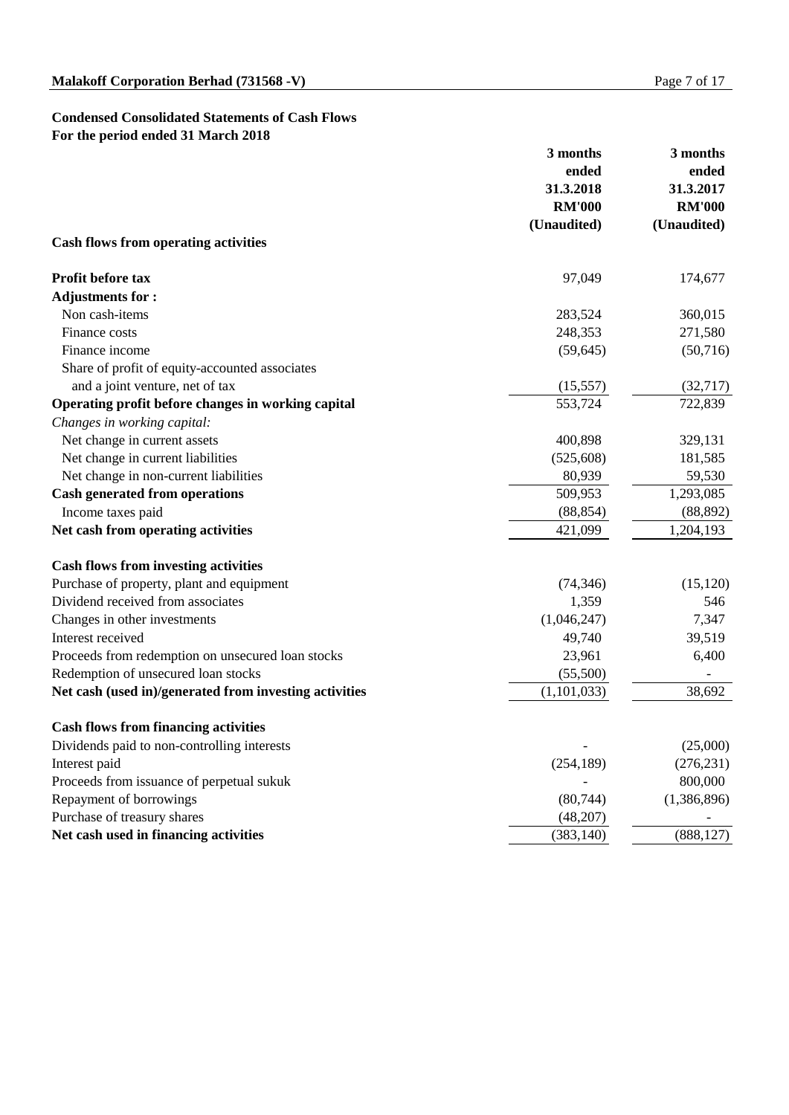## **Condensed Consolidated Statements of Cash Flows For the period ended 31 March 2018**

|                                                        | 3 months      | 3 months      |  |
|--------------------------------------------------------|---------------|---------------|--|
|                                                        | ended         | ended         |  |
|                                                        | 31.3.2018     | 31.3.2017     |  |
|                                                        | <b>RM'000</b> | <b>RM'000</b> |  |
|                                                        | (Unaudited)   | (Unaudited)   |  |
| <b>Cash flows from operating activities</b>            |               |               |  |
| Profit before tax                                      | 97,049        | 174,677       |  |
| <b>Adjustments for:</b>                                |               |               |  |
| Non cash-items                                         | 283,524       | 360,015       |  |
| Finance costs                                          | 248,353       | 271,580       |  |
| Finance income                                         | (59, 645)     | (50,716)      |  |
| Share of profit of equity-accounted associates         |               |               |  |
| and a joint venture, net of tax                        | (15, 557)     | (32,717)      |  |
| Operating profit before changes in working capital     | 553,724       | 722,839       |  |
| Changes in working capital:                            |               |               |  |
| Net change in current assets                           | 400,898       | 329,131       |  |
| Net change in current liabilities                      | (525, 608)    | 181,585       |  |
| Net change in non-current liabilities                  | 80,939        | 59,530        |  |
| <b>Cash generated from operations</b>                  | 509,953       | 1,293,085     |  |
| Income taxes paid                                      | (88, 854)     | (88, 892)     |  |
| Net cash from operating activities                     | 421,099       | 1,204,193     |  |
| <b>Cash flows from investing activities</b>            |               |               |  |
| Purchase of property, plant and equipment              | (74, 346)     | (15, 120)     |  |
| Dividend received from associates                      | 1,359         | 546           |  |
| Changes in other investments                           | (1,046,247)   | 7,347         |  |
| Interest received                                      | 49,740        | 39,519        |  |
| Proceeds from redemption on unsecured loan stocks      | 23,961        | 6,400         |  |
| Redemption of unsecured loan stocks                    | (55,500)      |               |  |
| Net cash (used in)/generated from investing activities | (1,101,033)   | 38,692        |  |
| <b>Cash flows from financing activities</b>            |               |               |  |
| Dividends paid to non-controlling interests            |               | (25,000)      |  |
| Interest paid                                          | (254, 189)    | (276, 231)    |  |
| Proceeds from issuance of perpetual sukuk              |               | 800,000       |  |
| Repayment of borrowings                                | (80, 744)     | (1,386,896)   |  |
| Purchase of treasury shares                            | (48,207)      |               |  |
| Net cash used in financing activities                  | (383, 140)    | (888, 127)    |  |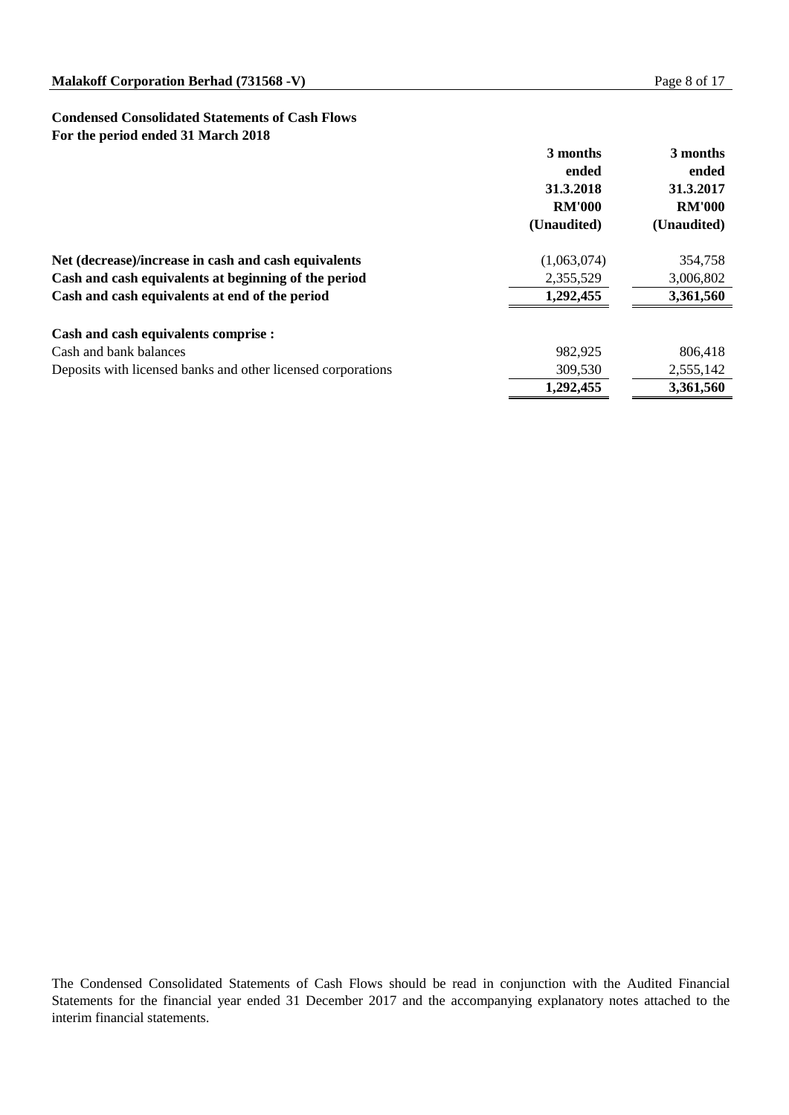#### **Condensed Consolidated Statements of Cash Flows For the period ended 31 March 2018**

|                                                              | 3 months<br>ended<br>31.3.2018<br><b>RM'000</b><br>(Unaudited) | 3 months<br>ended<br>31.3.2017<br><b>RM'000</b><br>(Unaudited) |
|--------------------------------------------------------------|----------------------------------------------------------------|----------------------------------------------------------------|
| Net (decrease)/increase in cash and cash equivalents         | (1,063,074)                                                    | 354,758                                                        |
| Cash and cash equivalents at beginning of the period         | 2,355,529                                                      | 3,006,802                                                      |
| Cash and cash equivalents at end of the period               | 1,292,455                                                      | 3,361,560                                                      |
| Cash and cash equivalents comprise :                         |                                                                |                                                                |
| Cash and bank balances                                       | 982,925                                                        | 806,418                                                        |
| Deposits with licensed banks and other licensed corporations | 309,530                                                        | 2,555,142                                                      |
|                                                              | 1,292,455                                                      | 3,361,560                                                      |

The Condensed Consolidated Statements of Cash Flows should be read in conjunction with the Audited Financial Statements for the financial year ended 31 December 2017 and the accompanying explanatory notes attached to the interim financial statements.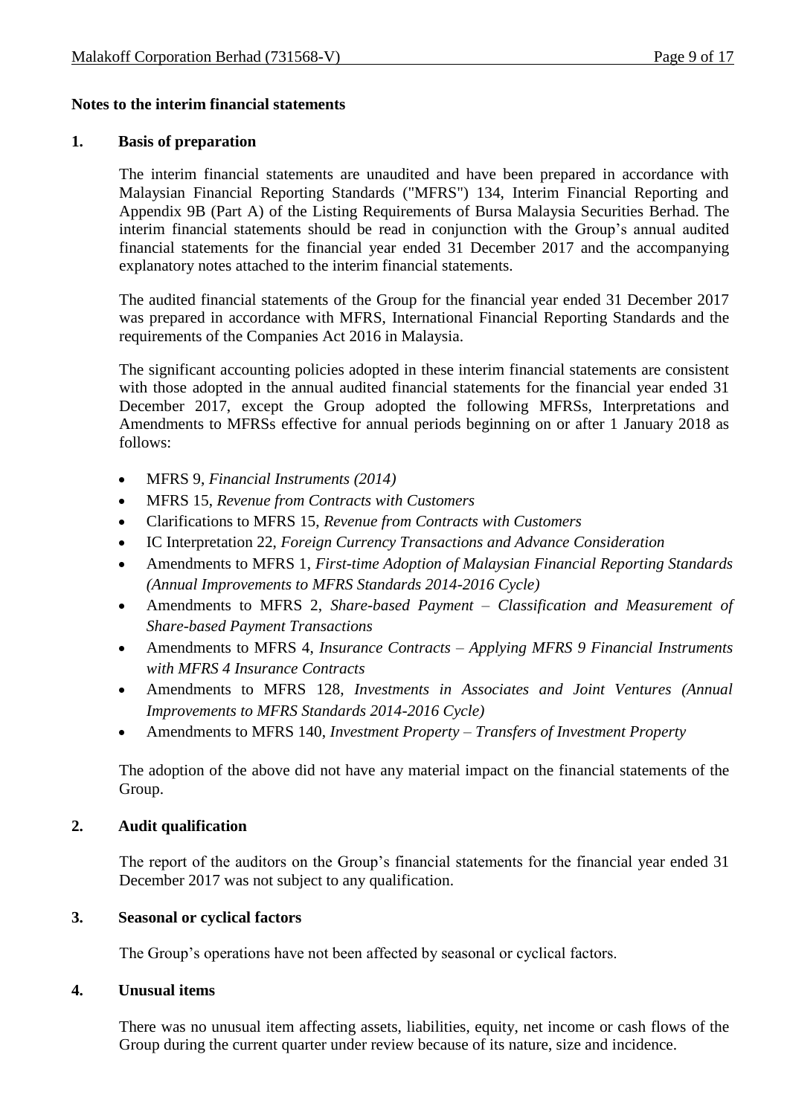## **Notes to the interim financial statements**

## **1. Basis of preparation**

The interim financial statements are unaudited and have been prepared in accordance with Malaysian Financial Reporting Standards ("MFRS") 134, Interim Financial Reporting and Appendix 9B (Part A) of the Listing Requirements of Bursa Malaysia Securities Berhad. The interim financial statements should be read in conjunction with the Group's annual audited financial statements for the financial year ended 31 December 2017 and the accompanying explanatory notes attached to the interim financial statements.

The audited financial statements of the Group for the financial year ended 31 December 2017 was prepared in accordance with MFRS, International Financial Reporting Standards and the requirements of the Companies Act 2016 in Malaysia.

The significant accounting policies adopted in these interim financial statements are consistent with those adopted in the annual audited financial statements for the financial year ended 31 December 2017, except the Group adopted the following MFRSs, Interpretations and Amendments to MFRSs effective for annual periods beginning on or after 1 January 2018 as follows:

- MFRS 9, *Financial Instruments (2014)*
- MFRS 15, *Revenue from Contracts with Customers*
- Clarifications to MFRS 15, *Revenue from Contracts with Customers*
- IC Interpretation 22, *Foreign Currency Transactions and Advance Consideration*
- Amendments to MFRS 1, *[First-time Adoption of Malaysian Financial Reporting Standards](http://masb.org.my/pdf/MFRS%201%20042015.pdf) (Annual Improvements to MFRS Standards 2014-2016 Cycle)*
- Amendments to MFRS 2, *Share-based Payment – Classification and Measurement of Share-based Payment Transactions*
- Amendments to MFRS 4, *Insurance Contracts – Applying MFRS 9 Financial Instruments with MFRS 4 Insurance Contracts*
- Amendments to MFRS 128, *Investments in Associates and Joint Ventures (Annual Improvements to MFRS Standards 2014-2016 Cycle)*
- Amendments to MFRS 140, *[Investment Property](http://masb.org.my/pdf/MFRS%20140%20042015.pdf) – Transfers of Investment Property*

The adoption of the above did not have any material impact on the financial statements of the Group.

## **2. Audit qualification**

The report of the auditors on the Group's financial statements for the financial year ended 31 December 2017 was not subject to any qualification.

## **3. Seasonal or cyclical factors**

The Group's operations have not been affected by seasonal or cyclical factors.

## **4. Unusual items**

There was no unusual item affecting assets, liabilities, equity, net income or cash flows of the Group during the current quarter under review because of its nature, size and incidence.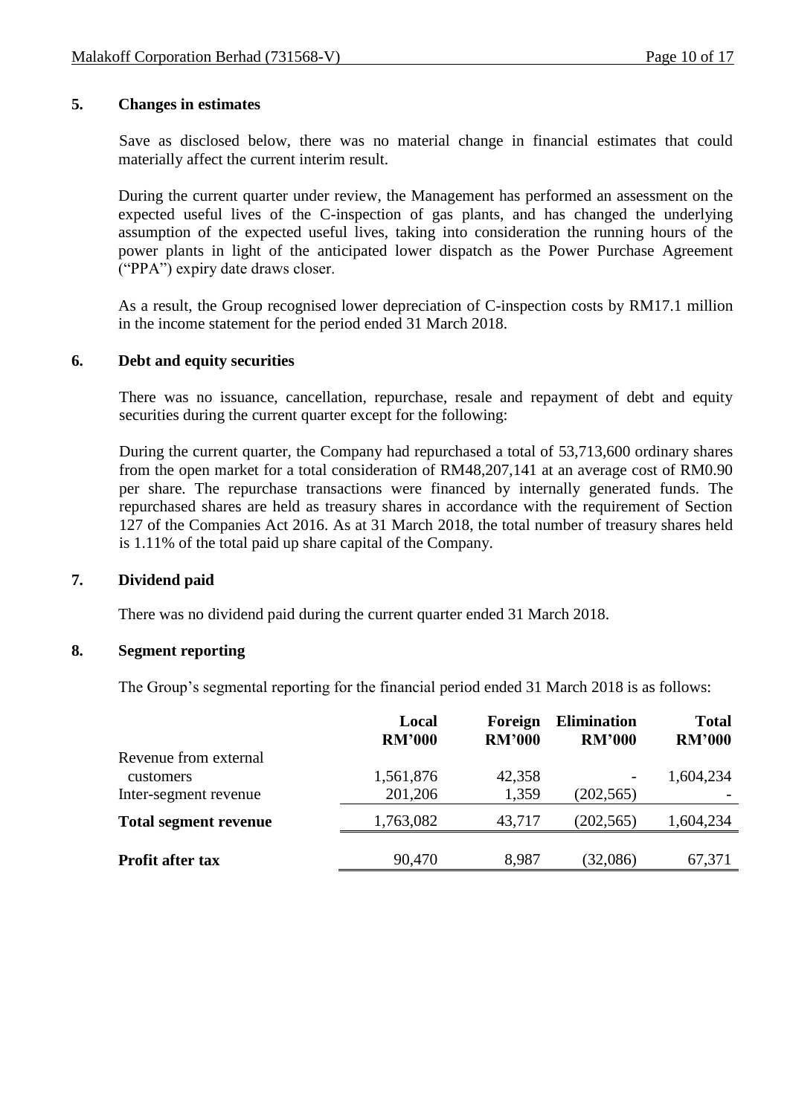## **5. Changes in estimates**

Save as disclosed below, there was no material change in financial estimates that could materially affect the current interim result.

During the current quarter under review, the Management has performed an assessment on the expected useful lives of the C-inspection of gas plants, and has changed the underlying assumption of the expected useful lives, taking into consideration the running hours of the power plants in light of the anticipated lower dispatch as the Power Purchase Agreement ("PPA") expiry date draws closer.

As a result, the Group recognised lower depreciation of C-inspection costs by RM17.1 million in the income statement for the period ended 31 March 2018.

#### **6. Debt and equity securities**

There was no issuance, cancellation, repurchase, resale and repayment of debt and equity securities during the current quarter except for the following:

During the current quarter, the Company had repurchased a total of 53,713,600 ordinary shares from the open market for a total consideration of RM48,207,141 at an average cost of RM0.90 per share. The repurchase transactions were financed by internally generated funds. The repurchased shares are held as treasury shares in accordance with the requirement of Section 127 of the Companies Act 2016. As at 31 March 2018, the total number of treasury shares held is 1.11% of the total paid up share capital of the Company.

## **7. Dividend paid**

There was no dividend paid during the current quarter ended 31 March 2018.

#### **8. Segment reporting**

The Group's segmental reporting for the financial period ended 31 March 2018 is as follows:

|                                    | Local<br><b>RM'000</b> | Foreign<br><b>RM'000</b> | <b>Elimination</b><br><b>RM'000</b> | <b>Total</b><br><b>RM'000</b> |
|------------------------------------|------------------------|--------------------------|-------------------------------------|-------------------------------|
| Revenue from external<br>customers | 1,561,876              | 42,358                   |                                     | 1,604,234                     |
| Inter-segment revenue              | 201,206                | 1,359                    | (202, 565)                          |                               |
| <b>Total segment revenue</b>       | 1,763,082              | 43,717                   | (202, 565)                          | 1,604,234                     |
| <b>Profit after tax</b>            | 90,470                 | 8,987                    | (32,086)                            | 67,371                        |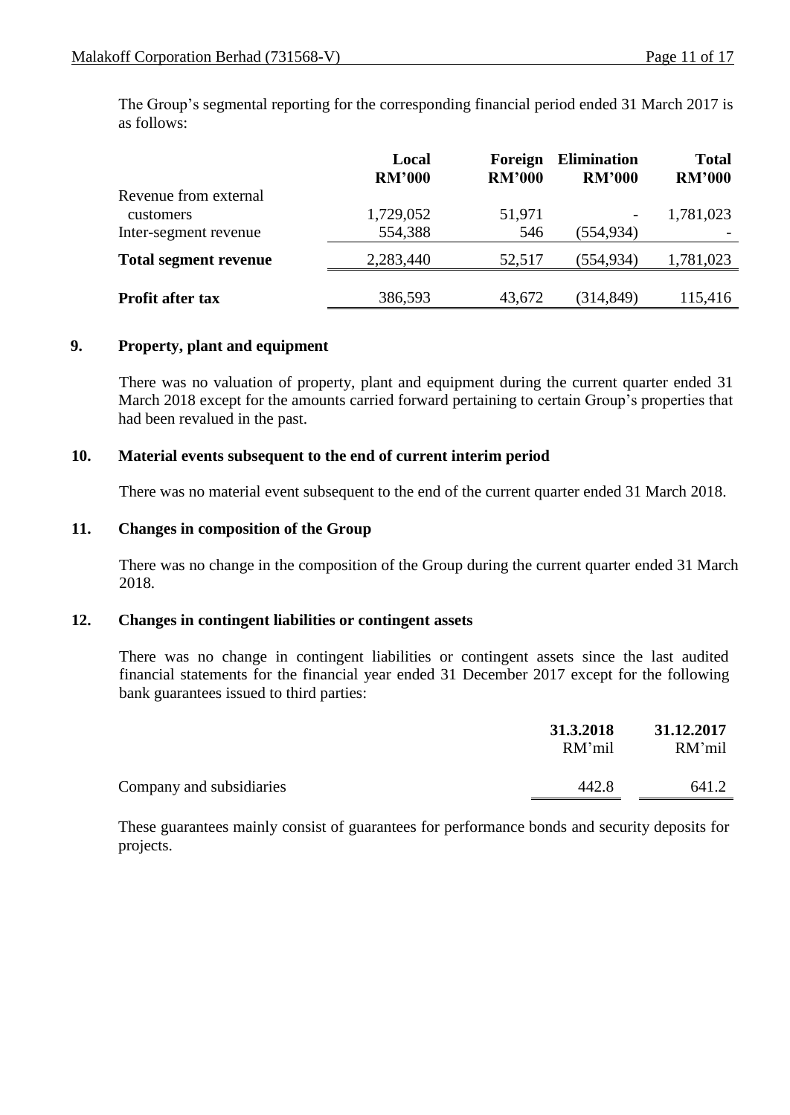The Group's segmental reporting for the corresponding financial period ended 31 March 2017 is as follows:

|                              | Local<br><b>RM'000</b> | Foreign<br><b>RM'000</b> | <b>Elimination</b><br><b>RM'000</b> | <b>Total</b><br><b>RM'000</b> |
|------------------------------|------------------------|--------------------------|-------------------------------------|-------------------------------|
| Revenue from external        |                        |                          |                                     |                               |
| customers                    | 1,729,052              | 51,971                   | $\overline{\phantom{a}}$            | 1,781,023                     |
| Inter-segment revenue        | 554,388                | 546                      | (554,934)                           |                               |
| <b>Total segment revenue</b> | 2,283,440              | 52,517                   | (554,934)                           | 1,781,023                     |
|                              |                        |                          |                                     |                               |
| <b>Profit after tax</b>      | 386,593                | 43,672                   | (314, 849)                          | 115,416                       |

## **9. Property, plant and equipment**

There was no valuation of property, plant and equipment during the current quarter ended 31 March 2018 except for the amounts carried forward pertaining to certain Group's properties that had been revalued in the past.

## **10. Material events subsequent to the end of current interim period**

There was no material event subsequent to the end of the current quarter ended 31 March 2018.

## **11. Changes in composition of the Group**

There was no change in the composition of the Group during the current quarter ended 31 March 2018.

### **12. Changes in contingent liabilities or contingent assets**

There was no change in contingent liabilities or contingent assets since the last audited financial statements for the financial year ended 31 December 2017 except for the following bank guarantees issued to third parties:

|                          | 31.3.2018<br>RM'mil | 31.12.2017<br>RM'mil |
|--------------------------|---------------------|----------------------|
| Company and subsidiaries | 442.8               | 641.2                |

These guarantees mainly consist of guarantees for performance bonds and security deposits for projects.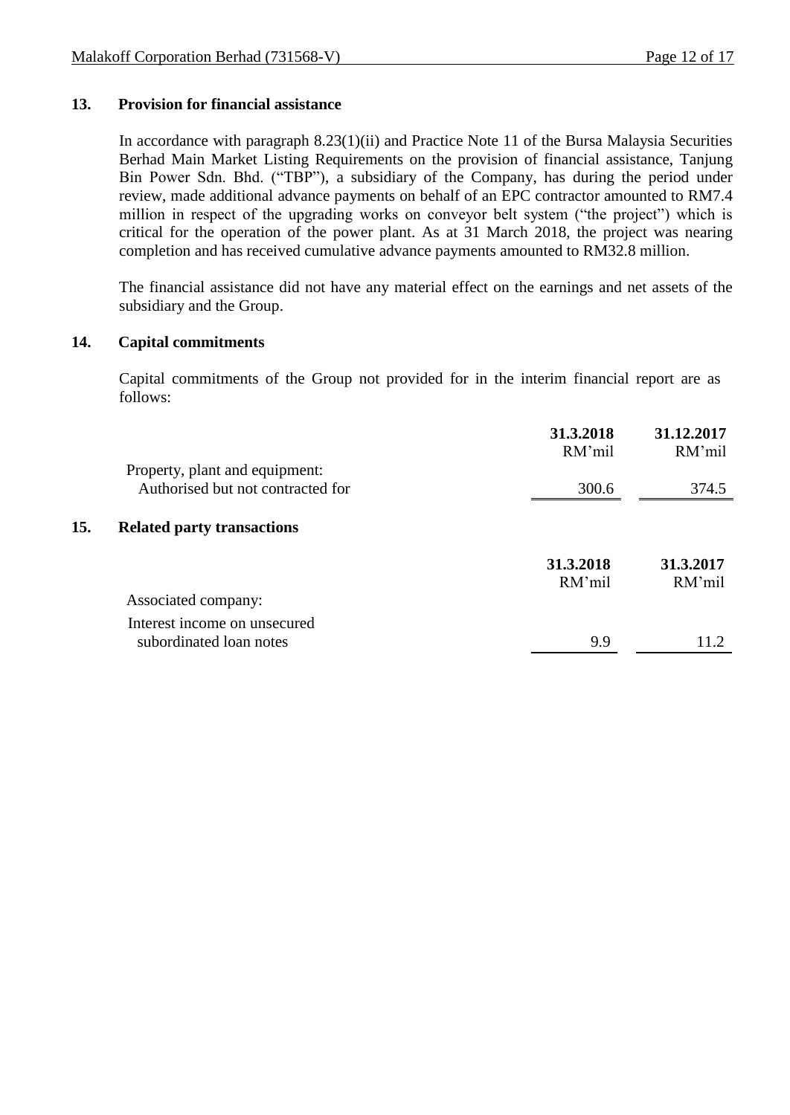## **13. Provision for financial assistance**

In accordance with paragraph 8.23(1)(ii) and Practice Note 11 of the Bursa Malaysia Securities Berhad Main Market Listing Requirements on the provision of financial assistance, Tanjung Bin Power Sdn. Bhd. ("TBP"), a subsidiary of the Company, has during the period under review, made additional advance payments on behalf of an EPC contractor amounted to RM7.4 million in respect of the upgrading works on conveyor belt system ("the project") which is critical for the operation of the power plant. As at 31 March 2018, the project was nearing completion and has received cumulative advance payments amounted to RM32.8 million.

The financial assistance did not have any material effect on the earnings and net assets of the subsidiary and the Group.

## **14. Capital commitments**

Capital commitments of the Group not provided for in the interim financial report are as follows:

|     |                                   | 31.3.2018<br>RM'mil | 31.12.2017<br>RM'mil |
|-----|-----------------------------------|---------------------|----------------------|
|     | Property, plant and equipment:    |                     |                      |
|     | Authorised but not contracted for | 300.6               | 374.5                |
| 15. | <b>Related party transactions</b> |                     |                      |
|     |                                   | 31.3.2018<br>RM'mil | 31.3.2017<br>RM'mil  |
|     | Associated company:               |                     |                      |
|     | Interest income on unsecured      |                     |                      |
|     | subordinated loan notes           | 9.9                 | 112                  |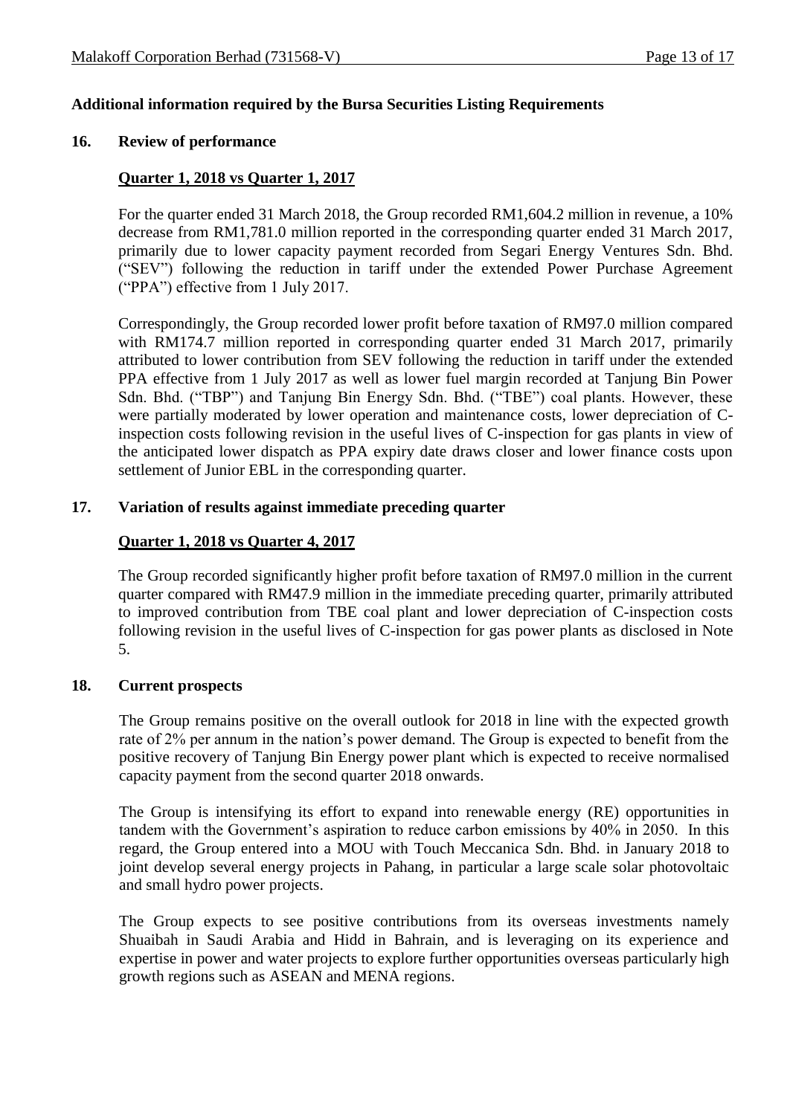## **Additional information required by the Bursa Securities Listing Requirements**

#### **16. Review of performance**

## **Quarter 1, 2018 vs Quarter 1, 2017**

For the quarter ended 31 March 2018, the Group recorded RM1,604.2 million in revenue, a 10% decrease from RM1,781.0 million reported in the corresponding quarter ended 31 March 2017, primarily due to lower capacity payment recorded from Segari Energy Ventures Sdn. Bhd. ("SEV") following the reduction in tariff under the extended Power Purchase Agreement ("PPA") effective from 1 July 2017.

Correspondingly, the Group recorded lower profit before taxation of RM97.0 million compared with RM174.7 million reported in corresponding quarter ended 31 March 2017, primarily attributed to lower contribution from SEV following the reduction in tariff under the extended PPA effective from 1 July 2017 as well as lower fuel margin recorded at Tanjung Bin Power Sdn. Bhd. ("TBP") and Tanjung Bin Energy Sdn. Bhd. ("TBE") coal plants. However, these were partially moderated by lower operation and maintenance costs, lower depreciation of Cinspection costs following revision in the useful lives of C-inspection for gas plants in view of the anticipated lower dispatch as PPA expiry date draws closer and lower finance costs upon settlement of Junior EBL in the corresponding quarter.

## **17. Variation of results against immediate preceding quarter**

### **Quarter 1, 2018 vs Quarter 4, 2017**

The Group recorded significantly higher profit before taxation of RM97.0 million in the current quarter compared with RM47.9 million in the immediate preceding quarter, primarily attributed to improved contribution from TBE coal plant and lower depreciation of C-inspection costs following revision in the useful lives of C-inspection for gas power plants as disclosed in Note 5.

### **18. Current prospects**

The Group remains positive on the overall outlook for 2018 in line with the expected growth rate of 2% per annum in the nation's power demand. The Group is expected to benefit from the positive recovery of Tanjung Bin Energy power plant which is expected to receive normalised capacity payment from the second quarter 2018 onwards.

The Group is intensifying its effort to expand into renewable energy (RE) opportunities in tandem with the Government's aspiration to reduce carbon emissions by 40% in 2050. In this regard, the Group entered into a MOU with Touch Meccanica Sdn. Bhd. in January 2018 to joint develop several energy projects in Pahang, in particular a large scale solar photovoltaic and small hydro power projects.

The Group expects to see positive contributions from its overseas investments namely Shuaibah in Saudi Arabia and Hidd in Bahrain, and is leveraging on its experience and expertise in power and water projects to explore further opportunities overseas particularly high growth regions such as ASEAN and MENA regions.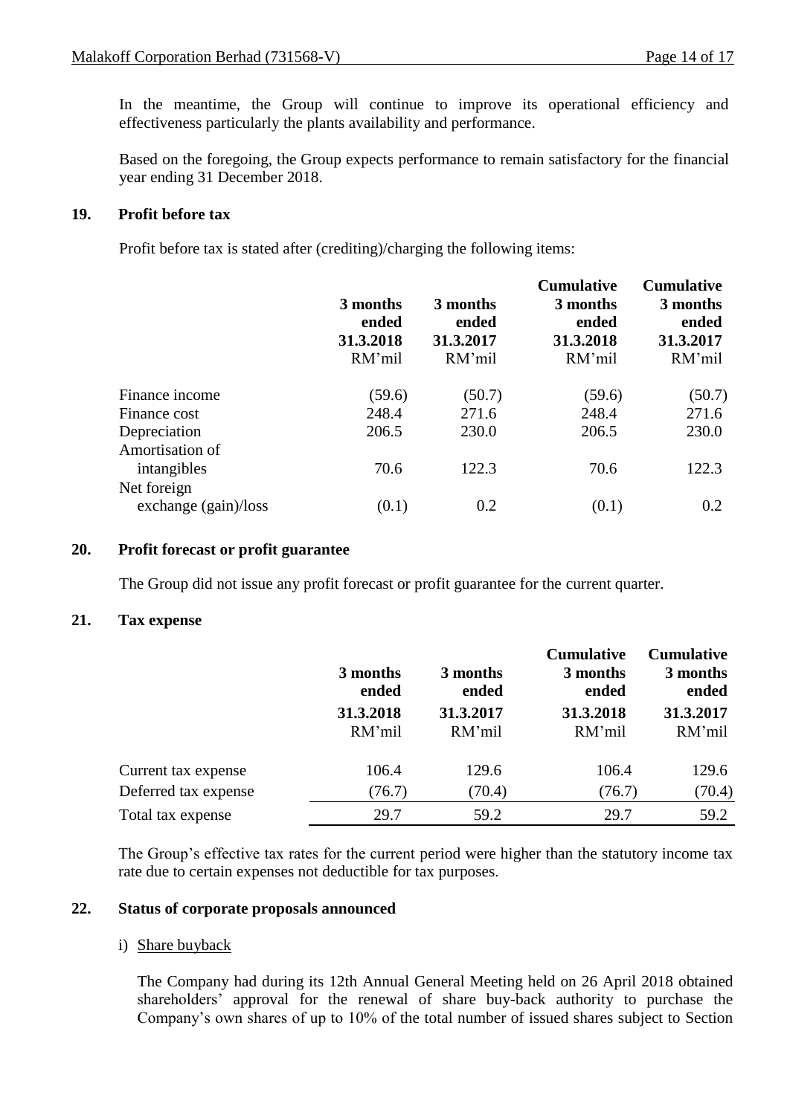In the meantime, the Group will continue to improve its operational efficiency and effectiveness particularly the plants availability and performance.

Based on the foregoing, the Group expects performance to remain satisfactory for the financial year ending 31 December 2018.

## **19. Profit before tax**

Profit before tax is stated after (crediting)/charging the following items:

|                                       | 3 months<br>ended<br>31.3.2018<br>RM'mil | 3 months<br>ended<br>31.3.2017<br>RM'mil | <b>Cumulative</b><br>3 months<br>ended<br>31.3.2018<br>RM'mil | <b>Cumulative</b><br>3 months<br>ended<br>31.3.2017<br>RM'mil |
|---------------------------------------|------------------------------------------|------------------------------------------|---------------------------------------------------------------|---------------------------------------------------------------|
| Finance income                        | (59.6)                                   | (50.7)                                   | (59.6)                                                        | (50.7)                                                        |
| Finance cost                          | 248.4                                    | 271.6                                    | 248.4                                                         | 271.6                                                         |
| Depreciation                          | 206.5                                    | 230.0                                    | 206.5                                                         | 230.0                                                         |
| Amortisation of<br>intangibles        | 70.6                                     | 122.3                                    | 70.6                                                          | 122.3                                                         |
| Net foreign<br>exchange $(gain)/loss$ | (0.1)                                    | 0.2                                      | (0.1)                                                         | 0.2                                                           |

### **20. Profit forecast or profit guarantee**

The Group did not issue any profit forecast or profit guarantee for the current quarter.

### **21. Tax expense**

|                      | 3 months<br>ended<br>31.3.2018<br>RM'mil | 3 months<br>ended   | <b>Cumulative</b><br>3 months<br>ended | <b>Cumulative</b><br>3 months<br>ended<br>31.3.2017<br>RM'mil |
|----------------------|------------------------------------------|---------------------|----------------------------------------|---------------------------------------------------------------|
|                      |                                          | 31.3.2017<br>RM'mil | 31.3.2018<br>RM'mil                    |                                                               |
| Current tax expense  | 106.4                                    | 129.6               | 106.4                                  | 129.6                                                         |
| Deferred tax expense | (76.7)                                   | (70.4)              | (76.7)                                 | (70.4)                                                        |
| Total tax expense    | 29.7                                     | 59.2                | 29.7                                   | 59.2                                                          |

The Group's effective tax rates for the current period were higher than the statutory income tax rate due to certain expenses not deductible for tax purposes.

## **22. Status of corporate proposals announced**

### i) Share buyback

The Company had during its 12th Annual General Meeting held on 26 April 2018 obtained shareholders' approval for the renewal of share buy-back authority to purchase the Company's own shares of up to 10% of the total number of issued shares subject to Section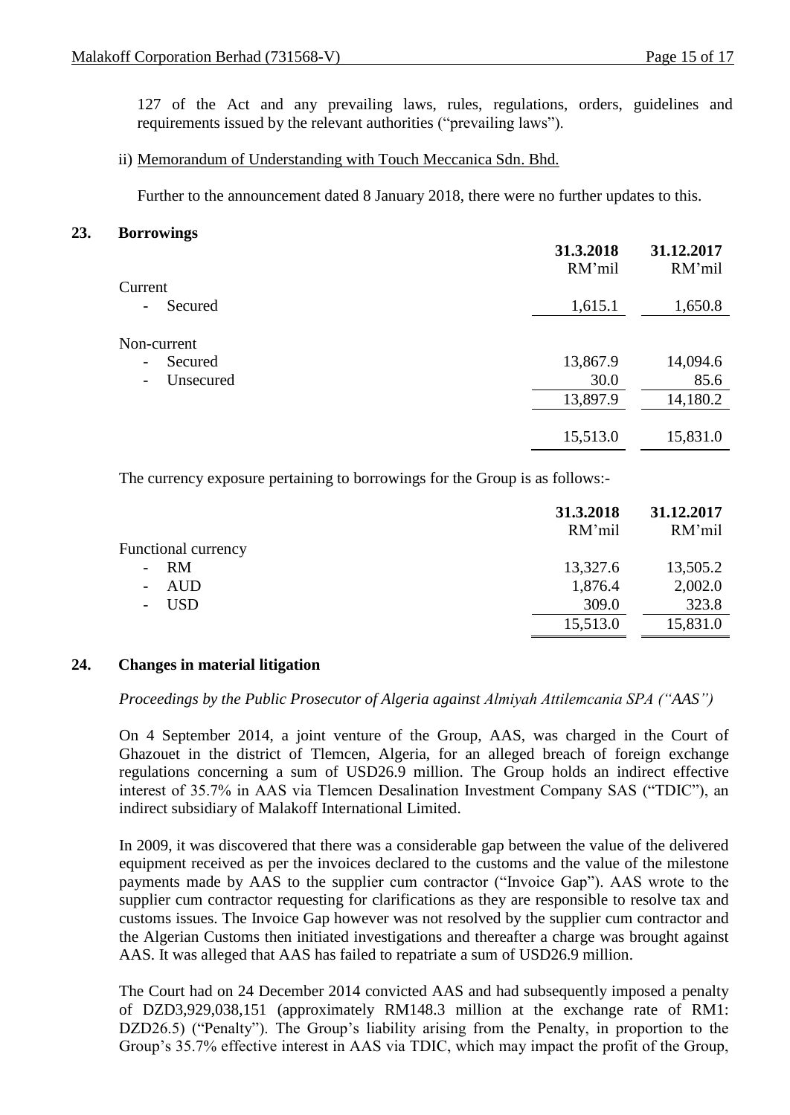127 of the Act and any prevailing laws, rules, regulations, orders, guidelines and requirements issued by the relevant authorities ("prevailing laws").

## ii) Memorandum of Understanding with Touch Meccanica Sdn. Bhd.

Further to the announcement dated 8 January 2018, there were no further updates to this.

## **23. Borrowings**

|                                         | 31.3.2018<br>RM'mil | 31.12.2017<br>RM'mil |
|-----------------------------------------|---------------------|----------------------|
| Current                                 |                     |                      |
| Secured<br>$\qquad \qquad \blacksquare$ | 1,615.1             | 1,650.8              |
| Non-current                             |                     |                      |
| Secured<br>$\overline{\phantom{a}}$     | 13,867.9            | 14,094.6             |
| Unsecured<br>$\overline{\phantom{a}}$   | 30.0                | 85.6                 |
|                                         | 13,897.9            | 14,180.2             |
|                                         | 15,513.0            | 15,831.0             |

The currency exposure pertaining to borrowings for the Group is as follows:-

|                            | 31.3.2018<br>RM'mil | 31.12.2017<br>RM'mil |
|----------------------------|---------------------|----------------------|
| <b>Functional currency</b> |                     |                      |
| $- RM$                     | 13,327.6            | 13,505.2             |
| AUD                        | 1,876.4             | 2,002.0              |
| - USD                      | 309.0               | 323.8                |
|                            | 15,513.0            | 15,831.0             |

## **24. Changes in material litigation**

## *Proceedings by the Public Prosecutor of Algeria against Almiyah Attilemcania SPA ("AAS")*

On 4 September 2014, a joint venture of the Group, AAS, was charged in the Court of Ghazouet in the district of Tlemcen, Algeria, for an alleged breach of foreign exchange regulations concerning a sum of USD26.9 million. The Group holds an indirect effective interest of 35.7% in AAS via Tlemcen Desalination Investment Company SAS ("TDIC"), an indirect subsidiary of Malakoff International Limited.

In 2009, it was discovered that there was a considerable gap between the value of the delivered equipment received as per the invoices declared to the customs and the value of the milestone payments made by AAS to the supplier cum contractor ("Invoice Gap"). AAS wrote to the supplier cum contractor requesting for clarifications as they are responsible to resolve tax and customs issues. The Invoice Gap however was not resolved by the supplier cum contractor and the Algerian Customs then initiated investigations and thereafter a charge was brought against AAS. It was alleged that AAS has failed to repatriate a sum of USD26.9 million.

The Court had on 24 December 2014 convicted AAS and had subsequently imposed a penalty of DZD3,929,038,151 (approximately RM148.3 million at the exchange rate of RM1: DZD26.5) ("Penalty"). The Group's liability arising from the Penalty, in proportion to the Group's 35.7% effective interest in AAS via TDIC, which may impact the profit of the Group,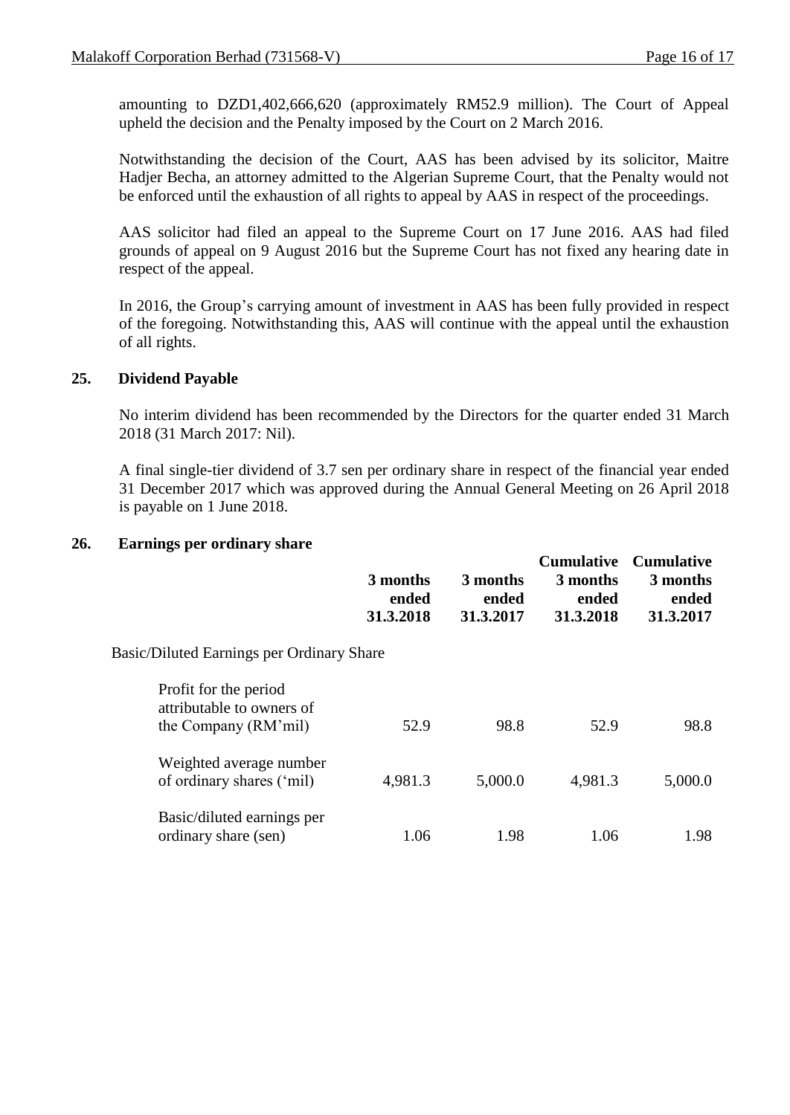amounting to DZD1,402,666,620 (approximately RM52.9 million). The Court of Appeal upheld the decision and the Penalty imposed by the Court on 2 March 2016.

Notwithstanding the decision of the Court, AAS has been advised by its solicitor, Maitre Hadjer Becha, an attorney admitted to the Algerian Supreme Court, that the Penalty would not be enforced until the exhaustion of all rights to appeal by AAS in respect of the proceedings.

AAS solicitor had filed an appeal to the Supreme Court on 17 June 2016. AAS had filed grounds of appeal on 9 August 2016 but the Supreme Court has not fixed any hearing date in respect of the appeal.

In 2016, the Group's carrying amount of investment in AAS has been fully provided in respect of the foregoing. Notwithstanding this, AAS will continue with the appeal until the exhaustion of all rights.

## **25. Dividend Payable**

No interim dividend has been recommended by the Directors for the quarter ended 31 March 2018 (31 March 2017: Nil).

A final single-tier dividend of 3.7 sen per ordinary share in respect of the financial year ended 31 December 2017 which was approved during the Annual General Meeting on 26 April 2018 is payable on 1 June 2018.

## **26. Earnings per ordinary share**

|                                                                            | 3 months<br>ended<br>31.3.2018 | 3 months<br>ended<br>31.3.2017 | <b>Cumulative</b><br>3 months<br>ended<br>31.3.2018 | <b>Cumulative</b><br>3 months<br>ended<br>31.3.2017 |
|----------------------------------------------------------------------------|--------------------------------|--------------------------------|-----------------------------------------------------|-----------------------------------------------------|
| <b>Basic/Diluted Earnings per Ordinary Share</b>                           |                                |                                |                                                     |                                                     |
| Profit for the period<br>attributable to owners of<br>the Company (RM'mil) | 52.9                           | 98.8                           | 52.9                                                | 98.8                                                |
| Weighted average number<br>of ordinary shares ('mil)                       | 4,981.3                        | 5,000.0                        | 4,981.3                                             | 5,000.0                                             |
| Basic/diluted earnings per<br>ordinary share (sen)                         | 1.06                           | 1.98                           | 1.06                                                | 1.98                                                |